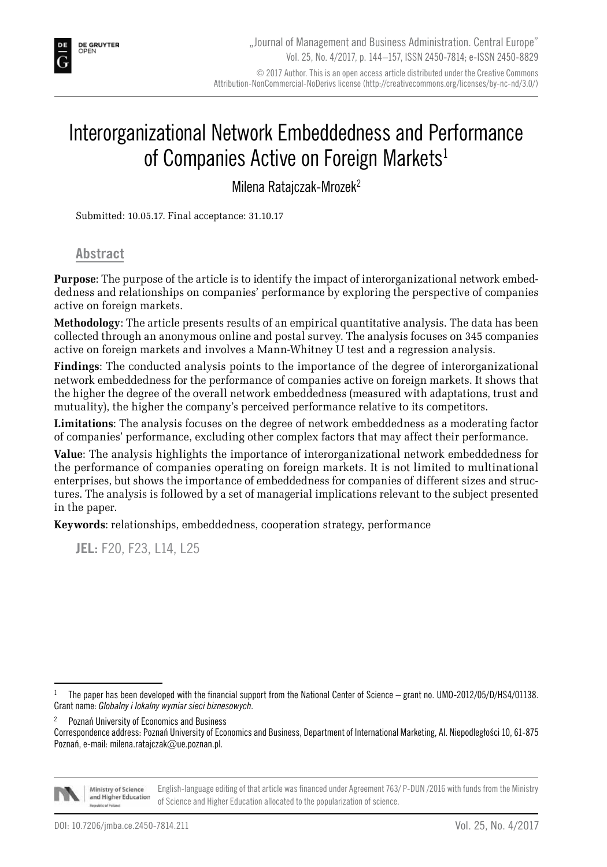

# Interorganizational Network Embeddedness and Performance of Companies Active on Foreign Markets<sup>1</sup>

Milena Ratajczak-Mrozek2

Submitted: 10.05.17. Final acceptance: 31.10.17

#### **Abstract**

**Purpose**: The purpose of the article is to identify the impact of interorganizational network embeddedness and relationships on companies' performance by exploring the perspective of companies active on foreign markets.

**Methodology**: The article presents results of an empirical quantitative analysis. The data has been collected through an anonymous online and postal survey. The analysis focuses on 345 companies active on foreign markets and involves a Mann-Whitney U test and a regression analysis.

**Findings**: The conducted analysis points to the importance of the degree of interorganizational network embeddedness for the performance of companies active on foreign markets. It shows that the higher the degree of the overall network embeddedness (measured with adaptations, trust and mutuality), the higher the company's perceived performance relative to its competitors.

**Limitations**: The analysis focuses on the degree of network embeddedness as a moderating factor of companies' performance, excluding other complex factors that may affect their performance.

**Value**: The analysis highlights the importance of interorganizational network embeddedness for the performance of companies operating on foreign markets. It is not limited to multinational enterprises, but shows the importance of embeddedness for companies of different sizes and structures. The analysis is followed by a set of managerial implications relevant to the subject presented in the paper.

**Keywords**: relationships, embeddedness, cooperation strategy, performance

**JEL:** F20, F23, L14, L25

Correspondence address: Poznań University of Economics and Business, Department of International Marketing, Al. Niepodległości 10, 61-875 Poznań, e-mail: milena.ratajczak@ue.poznan.pl.



Ministry of Science English-language editing of that article was financed under Agreement 763/ P-DUN /2016 with funds from the Ministry and Higher Education of Science and Higher Education allocated to the popularization of science.

<sup>1</sup> The paper has been developed with the financial support from the National Center of Science – grant no. UMO-2012/05/D/HS4/01138. Grant name: *Globalny i lokalny wymiar sieci biznesowych*.

<sup>2</sup> Poznań University of Economics and Business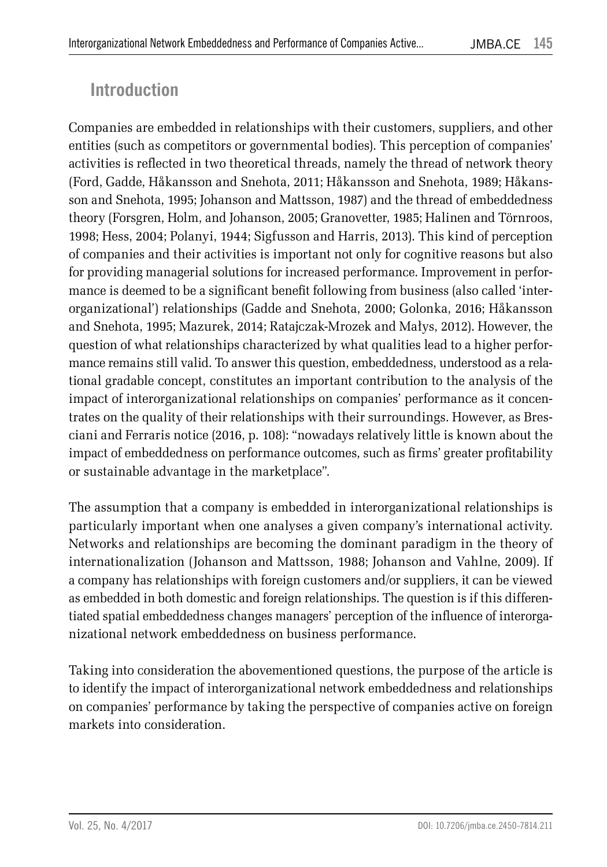## **Introduction**

Companies are embedded in relationships with their customers, suppliers, and other entities (such as competitors or governmental bodies). This perception of companies' activities is reflected in two theoretical threads, namely the thread of network theory (Ford, Gadde, Håkansson and Snehota, 2011; Håkansson and Snehota, 1989; Håkansson and Snehota, 1995; Johanson and Mattsson, 1987) and the thread of embeddedness theory (Forsgren, Holm, and Johanson, 2005; Granovetter, 1985; Halinen and Törnroos, 1998; Hess, 2004; Polanyi, 1944; Sigfusson and Harris, 2013). This kind of perception of companies and their activities is important not only for cognitive reasons but also for providing managerial solutions for increased performance. Improvement in performance is deemed to be a significant benefit following from business (also called 'interorganizational') relationships (Gadde and Snehota, 2000; Golonka, 2016; Håkansson and Snehota, 1995; Mazurek, 2014; Ratajczak-Mrozek and Małys, 2012). However, the question of what relationships characterized by what qualities lead to a higher performance remains still valid. To answer this question, embeddedness, understood as a relational gradable concept, constitutes an important contribution to the analysis of the impact of interorganizational relationships on companies' performance as it concentrates on the quality of their relationships with their surroundings. However, as Bresciani and Ferraris notice (2016, p. 108): "nowadays relatively little is known about the impact of embeddedness on performance outcomes, such as firms' greater profitability or sustainable advantage in the marketplace".

The assumption that a company is embedded in interorganizational relationships is particularly important when one analyses a given company's international activity. Networks and relationships are becoming the dominant paradigm in the theory of internationalization (Johanson and Mattsson, 1988; Johanson and Vahlne, 2009). If a company has relationships with foreign customers and/or suppliers, it can be viewed as embedded in both domestic and foreign relationships. The question is if this differentiated spatial embeddedness changes managers' perception of the influence of interorganizational network embeddedness on business performance.

Taking into consideration the abovementioned questions, the purpose of the article is to identify the impact of interorganizational network embeddedness and relationships on companies' performance by taking the perspective of companies active on foreign markets into consideration.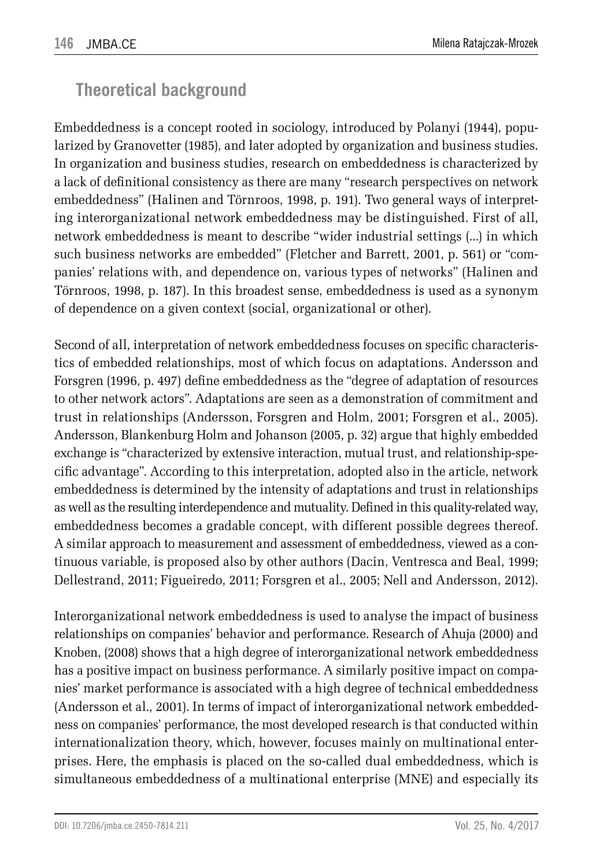# **Theoretical background**

Embeddedness is a concept rooted in sociology, introduced by Polanyi (1944), popularized by Granovetter (1985), and later adopted by organization and business studies. In organization and business studies, research on embeddedness is characterized by a lack of definitional consistency as there are many "research perspectives on network embeddedness" (Halinen and Törnroos, 1998, p. 191). Two general ways of interpreting interorganizational network embeddedness may be distinguished. First of all, network embeddedness is meant to describe "wider industrial settings (...) in which such business networks are embedded" (Fletcher and Barrett, 2001, p. 561) or "companies' relations with, and dependence on, various types of networks" (Halinen and Törnroos, 1998, p. 187). In this broadest sense, embeddedness is used as a synonym of dependence on a given context (social, organizational or other).

Second of all, interpretation of network embeddedness focuses on specific characteristics of embedded relationships, most of which focus on adaptations. Andersson and Forsgren (1996, p. 497) define embeddedness as the "degree of adaptation of resources to other network actors". Adaptations are seen as a demonstration of commitment and trust in relationships (Andersson, Forsgren and Holm, 2001; Forsgren et al., 2005). Andersson, Blankenburg Holm and Johanson (2005, p. 32) argue that highly embedded exchange is "characterized by extensive interaction, mutual trust, and relationship-specific advantage". According to this interpretation, adopted also in the article, network embeddedness is determined by the intensity of adaptations and trust in relationships as well as the resulting interdependence and mutuality. Defined in this quality-related way, embeddedness becomes a gradable concept, with different possible degrees thereof. A similar approach to measurement and assessment of embeddedness, viewed as a continuous variable, is proposed also by other authors (Dacin, Ventresca and Beal, 1999; Dellestrand, 2011; Figueiredo, 2011; Forsgren et al., 2005; Nell and Andersson, 2012).

Interorganizational network embeddedness is used to analyse the impact of business relationships on companies' behavior and performance. Research of Ahuja (2000) and Knoben, (2008) shows that a high degree of interorganizational network embeddedness has a positive impact on business performance. A similarly positive impact on companies' market performance is associated with a high degree of technical embeddedness (Andersson et al., 2001). In terms of impact of interorganizational network embeddedness on companies' performance, the most developed research is that conducted within internationalization theory, which, however, focuses mainly on multinational enterprises. Here, the emphasis is placed on the so-called dual embeddedness, which is simultaneous embeddedness of a multinational enterprise (MNE) and especially its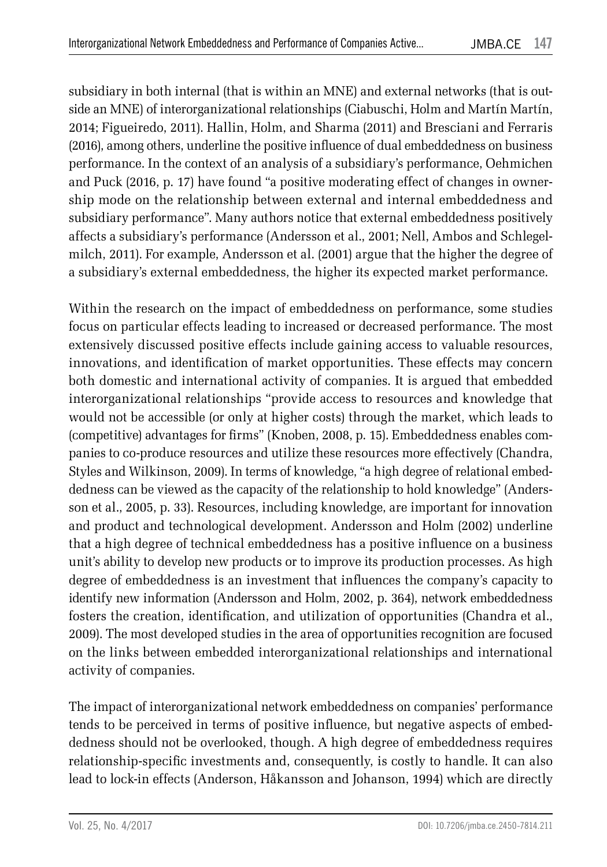subsidiary in both internal (that is within an MNE) and external networks (that is outside an MNE) of interorganizational relationships (Ciabuschi, Holm and Martín Martín, 2014; Figueiredo, 2011). Hallin, Holm, and Sharma (2011) and Bresciani and Ferraris (2016), among others, underline the positive influence of dual embeddedness on business performance. In the context of an analysis of a subsidiary's performance, Oehmichen and Puck (2016, p. 17) have found "a positive moderating effect of changes in ownership mode on the relationship between external and internal embeddedness and subsidiary performance". Many authors notice that external embeddedness positively affects a subsidiary's performance (Andersson et al., 2001; Nell, Ambos and Schlegelmilch, 2011). For example, Andersson et al. (2001) argue that the higher the degree of a subsidiary's external embeddedness, the higher its expected market performance.

Within the research on the impact of embeddedness on performance, some studies focus on particular effects leading to increased or decreased performance. The most extensively discussed positive effects include gaining access to valuable resources, innovations, and identification of market opportunities. These effects may concern both domestic and international activity of companies. It is argued that embedded interorganizational relationships "provide access to resources and knowledge that would not be accessible (or only at higher costs) through the market, which leads to (competitive) advantages for firms" (Knoben, 2008, p. 15). Embeddedness enables companies to co-produce resources and utilize these resources more effectively (Chandra, Styles and Wilkinson, 2009). In terms of knowledge, "a high degree of relational embeddedness can be viewed as the capacity of the relationship to hold knowledge" (Andersson et al., 2005, p. 33). Resources, including knowledge, are important for innovation and product and technological development. Andersson and Holm (2002) underline that a high degree of technical embeddedness has a positive influence on a business unit's ability to develop new products or to improve its production processes. As high degree of embeddedness is an investment that influences the company's capacity to identify new information (Andersson and Holm, 2002, p. 364), network embeddedness fosters the creation, identification, and utilization of opportunities (Chandra et al., 2009). The most developed studies in the area of opportunities recognition are focused on the links between embedded interorganizational relationships and international activity of companies.

The impact of interorganizational network embeddedness on companies' performance tends to be perceived in terms of positive influence, but negative aspects of embeddedness should not be overlooked, though. A high degree of embeddedness requires relationship-specific investments and, consequently, is costly to handle. It can also lead to lock-in effects (Anderson, Håkansson and Johanson, 1994) which are directly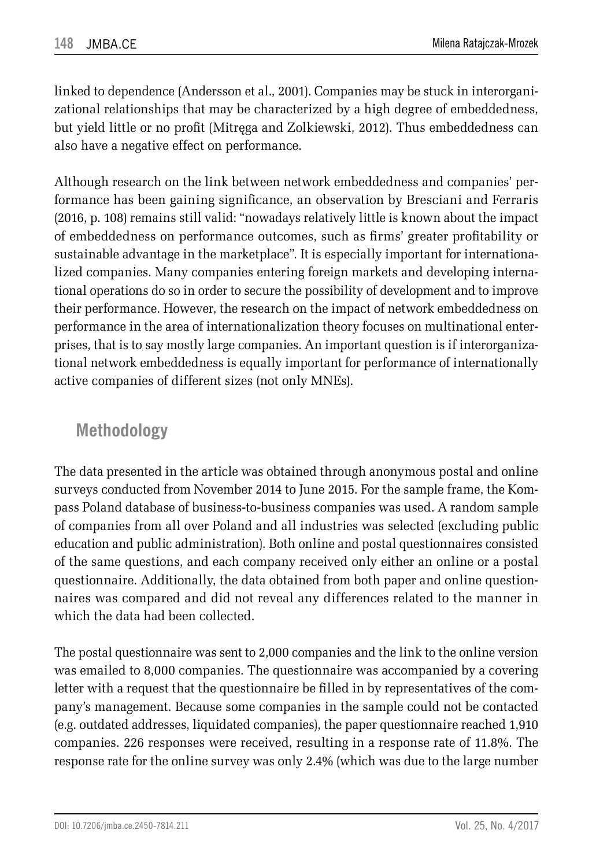linked to dependence (Andersson et al., 2001). Companies may be stuck in interorganizational relationships that may be characterized by a high degree of embeddedness, but yield little or no profit (Mitręga and Zolkiewski, 2012). Thus embeddedness can also have a negative effect on performance.

Although research on the link between network embeddedness and companies' performance has been gaining significance, an observation by Bresciani and Ferraris (2016, p. 108) remains still valid: "nowadays relatively little is known about the impact of embeddedness on performance outcomes, such as firms' greater profitability or sustainable advantage in the marketplace". It is especially important for internationalized companies. Many companies entering foreign markets and developing international operations do so in order to secure the possibility of development and to improve their performance. However, the research on the impact of network embeddedness on performance in the area of internationalization theory focuses on multinational enterprises, that is to say mostly large companies. An important question is if interorganizational network embeddedness is equally important for performance of internationally active companies of different sizes (not only MNEs).

### **Methodology**

The data presented in the article was obtained through anonymous postal and online surveys conducted from November 2014 to June 2015. For the sample frame, the Kompass Poland database of business-to-business companies was used. A random sample of companies from all over Poland and all industries was selected (excluding public education and public administration). Both online and postal questionnaires consisted of the same questions, and each company received only either an online or a postal questionnaire. Additionally, the data obtained from both paper and online questionnaires was compared and did not reveal any differences related to the manner in which the data had been collected.

The postal questionnaire was sent to 2,000 companies and the link to the online version was emailed to 8,000 companies. The questionnaire was accompanied by a covering letter with a request that the questionnaire be filled in by representatives of the company's management. Because some companies in the sample could not be contacted (e.g. outdated addresses, liquidated companies), the paper questionnaire reached 1,910 companies. 226 responses were received, resulting in a response rate of 11.8%. The response rate for the online survey was only 2.4% (which was due to the large number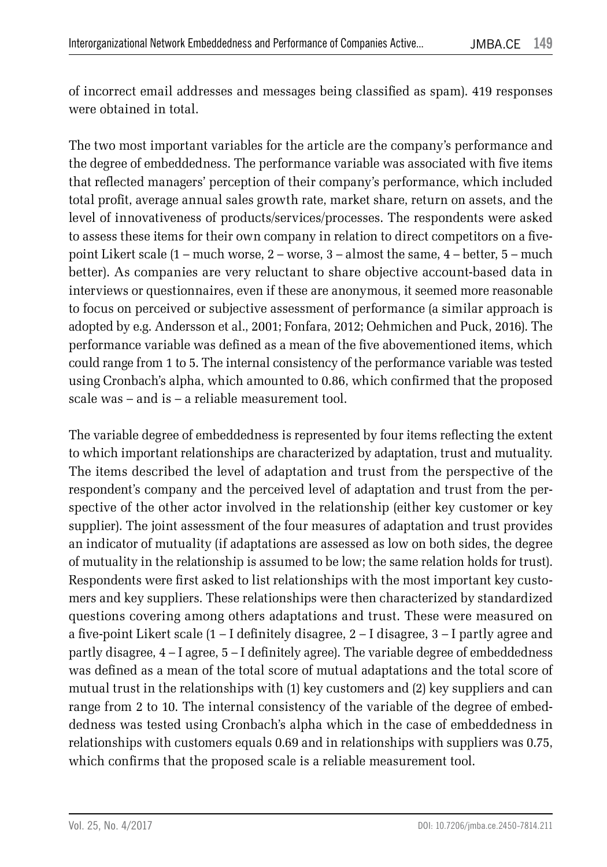of incorrect email addresses and messages being classified as spam). 419 responses were obtained in total.

The two most important variables for the article are the company's performance and the degree of embeddedness. The performance variable was associated with five items that reflected managers' perception of their company's performance, which included total profit, average annual sales growth rate, market share, return on assets, and the level of innovativeness of products/services/processes. The respondents were asked to assess these items for their own company in relation to direct competitors on a fivepoint Likert scale (1 – much worse, 2 – worse, 3 – almost the same, 4 – better, 5 – much better). As companies are very reluctant to share objective account-based data in interviews or questionnaires, even if these are anonymous, it seemed more reasonable to focus on perceived or subjective assessment of performance (a similar approach is adopted by e.g. Andersson et al., 2001; Fonfara, 2012; Oehmichen and Puck, 2016). The performance variable was defined as a mean of the five abovementioned items, which could range from 1 to 5. The internal consistency of the performance variable was tested using Cronbach's alpha, which amounted to 0.86, which confirmed that the proposed scale was – and is – a reliable measurement tool.

The variable degree of embeddedness is represented by four items reflecting the extent to which important relationships are characterized by adaptation, trust and mutuality. The items described the level of adaptation and trust from the perspective of the respondent's company and the perceived level of adaptation and trust from the perspective of the other actor involved in the relationship (either key customer or key supplier). The joint assessment of the four measures of adaptation and trust provides an indicator of mutuality (if adaptations are assessed as low on both sides, the degree of mutuality in the relationship is assumed to be low; the same relation holds for trust). Respondents were first asked to list relationships with the most important key customers and key suppliers. These relationships were then characterized by standardized questions covering among others adaptations and trust. These were measured on a five-point Likert scale (1 – I definitely disagree, 2 – I disagree, 3 – I partly agree and partly disagree, 4 – I agree, 5 – I definitely agree). The variable degree of embeddedness was defined as a mean of the total score of mutual adaptations and the total score of mutual trust in the relationships with (1) key customers and (2) key suppliers and can range from 2 to 10. The internal consistency of the variable of the degree of embeddedness was tested using Cronbach's alpha which in the case of embeddedness in relationships with customers equals 0.69 and in relationships with suppliers was 0.75, which confirms that the proposed scale is a reliable measurement tool.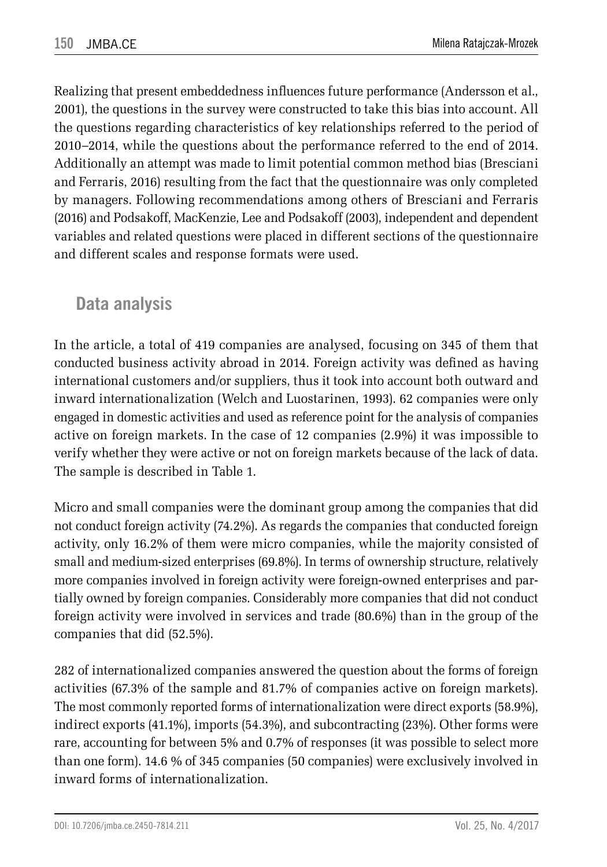Realizing that present embeddedness influences future performance (Andersson et al., 2001), the questions in the survey were constructed to take this bias into account. All the questions regarding characteristics of key relationships referred to the period of 2010–2014, while the questions about the performance referred to the end of 2014. Additionally an attempt was made to limit potential common method bias (Bresciani and Ferraris, 2016) resulting from the fact that the questionnaire was only completed by managers. Following recommendations among others of Bresciani and Ferraris (2016) and Podsakoff, MacKenzie, Lee and Podsakoff (2003), independent and dependent variables and related questions were placed in different sections of the questionnaire and different scales and response formats were used.

### **Data analysis**

In the article, a total of 419 companies are analysed, focusing on 345 of them that conducted business activity abroad in 2014. Foreign activity was defined as having international customers and/or suppliers, thus it took into account both outward and inward internationalization (Welch and Luostarinen, 1993). 62 companies were only engaged in domestic activities and used as reference point for the analysis of companies active on foreign markets. In the case of 12 companies (2.9%) it was impossible to verify whether they were active or not on foreign markets because of the lack of data. The sample is described in Table 1.

Micro and small companies were the dominant group among the companies that did not conduct foreign activity (74.2%). As regards the companies that conducted foreign activity, only 16.2% of them were micro companies, while the majority consisted of small and medium-sized enterprises (69.8%). In terms of ownership structure, relatively more companies involved in foreign activity were foreign-owned enterprises and partially owned by foreign companies. Considerably more companies that did not conduct foreign activity were involved in services and trade (80.6%) than in the group of the companies that did (52.5%).

282 of internationalized companies answered the question about the forms of foreign activities (67.3% of the sample and 81.7% of companies active on foreign markets). The most commonly reported forms of internationalization were direct exports (58.9%), indirect exports (41.1%), imports (54.3%), and subcontracting (23%). Other forms were rare, accounting for between 5% and 0.7% of responses (it was possible to select more than one form). 14.6 % of 345 companies (50 companies) were exclusively involved in inward forms of internationalization.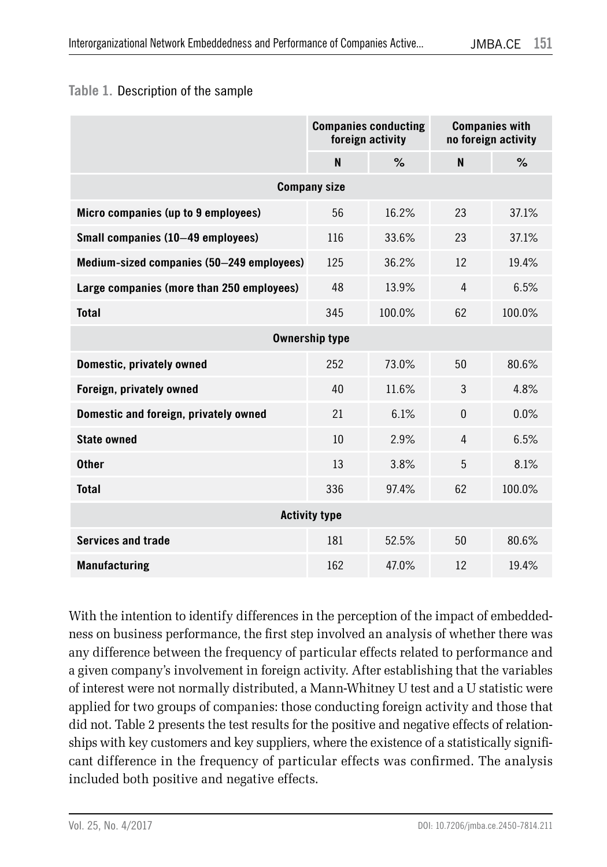#### **Table 1.** Description of the sample

|                                           | <b>Companies conducting</b><br>foreign activity |        | <b>Companies with</b><br>no foreign activity |        |  |  |  |  |
|-------------------------------------------|-------------------------------------------------|--------|----------------------------------------------|--------|--|--|--|--|
|                                           | N                                               | $\%$   | N                                            | %      |  |  |  |  |
| <b>Company size</b>                       |                                                 |        |                                              |        |  |  |  |  |
| Micro companies (up to 9 employees)       | 56                                              | 16.2%  | 23                                           | 37.1%  |  |  |  |  |
| Small companies (10-49 employees)         | 116                                             | 33.6%  | 23                                           | 37.1%  |  |  |  |  |
| Medium-sized companies (50–249 employees) | 125                                             | 36.2%  | 12                                           | 19.4%  |  |  |  |  |
| Large companies (more than 250 employees) | 48                                              | 13.9%  | 4                                            | 6.5%   |  |  |  |  |
| <b>Total</b>                              | 345                                             | 100.0% | 62                                           | 100.0% |  |  |  |  |
| <b>Ownership type</b>                     |                                                 |        |                                              |        |  |  |  |  |
| Domestic, privately owned                 | 252                                             | 73.0%  | 50                                           | 80.6%  |  |  |  |  |
| Foreign, privately owned                  | 40                                              | 11.6%  | 3                                            | 4.8%   |  |  |  |  |
| Domestic and foreign, privately owned     | 21                                              | 6.1%   | $\theta$                                     | 0.0%   |  |  |  |  |
| <b>State owned</b>                        | 10                                              | 2.9%   | 4                                            | 6.5%   |  |  |  |  |
| <b>Other</b>                              | 13                                              | 3.8%   | 5                                            | 8.1%   |  |  |  |  |
| <b>Total</b>                              | 336                                             | 97.4%  | 62                                           | 100.0% |  |  |  |  |
| <b>Activity type</b>                      |                                                 |        |                                              |        |  |  |  |  |
| <b>Services and trade</b>                 | 181                                             | 52.5%  | 50                                           | 80.6%  |  |  |  |  |
| <b>Manufacturing</b>                      | 162                                             | 47.0%  | 12                                           | 19.4%  |  |  |  |  |

With the intention to identify differences in the perception of the impact of embeddedness on business performance, the first step involved an analysis of whether there was any difference between the frequency of particular effects related to performance and a given company's involvement in foreign activity. After establishing that the variables of interest were not normally distributed, a Mann-Whitney U test and a U statistic were applied for two groups of companies: those conducting foreign activity and those that did not. Table 2 presents the test results for the positive and negative effects of relationships with key customers and key suppliers, where the existence of a statistically significant difference in the frequency of particular effects was confirmed. The analysis included both positive and negative effects.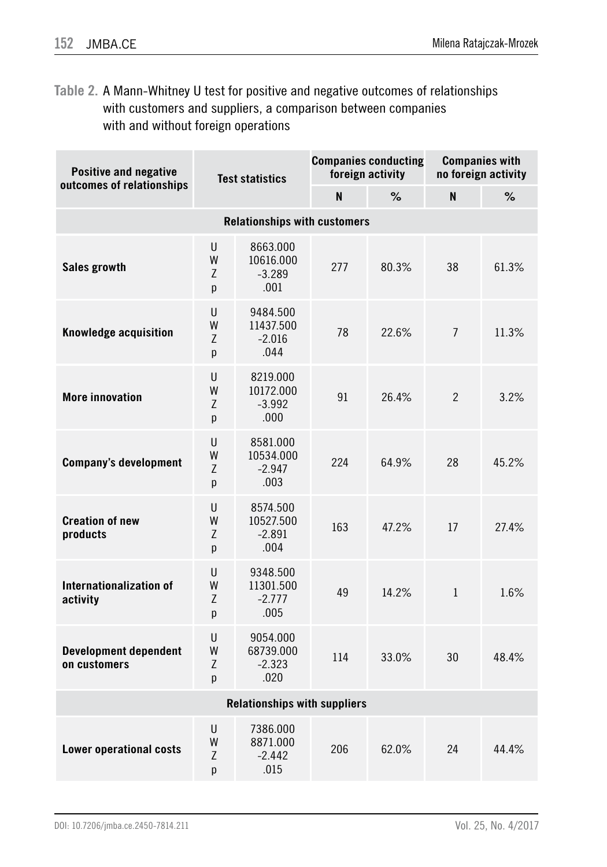**Table 2.** A Mann-Whitney U test for positive and negative outcomes of relationships with customers and suppliers, a comparison between companies with and without foreign operations

| <b>Positive and negative</b><br><b>Test statistics</b><br>outcomes of relationships |                  |                                           | <b>Companies conducting</b><br>foreign activity |       | <b>Companies with</b><br>no foreign activity |       |  |
|-------------------------------------------------------------------------------------|------------------|-------------------------------------------|-------------------------------------------------|-------|----------------------------------------------|-------|--|
|                                                                                     |                  |                                           | N                                               | $\%$  | N                                            | %     |  |
| <b>Relationships with customers</b>                                                 |                  |                                           |                                                 |       |                                              |       |  |
| Sales growth                                                                        | U<br>W<br>Z<br>p | 8663.000<br>10616.000<br>$-3.289$<br>.001 | 277                                             | 80.3% | 38                                           | 61.3% |  |
| Knowledge acquisition                                                               | U<br>W<br>Z<br>p | 9484.500<br>11437.500<br>$-2.016$<br>.044 | 78                                              | 22.6% | $\overline{7}$                               | 11.3% |  |
| <b>More innovation</b>                                                              | U<br>W<br>Ζ<br>p | 8219.000<br>10172.000<br>$-3.992$<br>.000 | 91                                              | 26.4% | $\overline{2}$                               | 3.2%  |  |
| <b>Company's development</b>                                                        | U<br>W<br>Z<br>p | 8581.000<br>10534.000<br>$-2.947$<br>.003 | 224                                             | 64.9% | 28                                           | 45.2% |  |
| <b>Creation of new</b><br>products                                                  | U<br>W<br>Z<br>p | 8574.500<br>10527.500<br>$-2.891$<br>.004 | 163                                             | 47.2% | 17                                           | 27.4% |  |
| Internationalization of<br>activity                                                 | U<br>W<br>Ζ<br>p | 9348.500<br>11301.500<br>$-2.777$<br>.005 | 49                                              | 14.2% | $\mathbf{1}$                                 | 1.6%  |  |
| <b>Development dependent</b><br>on customers                                        | U<br>W<br>Z<br>p | 9054.000<br>68739.000<br>$-2.323$<br>.020 | 114                                             | 33.0% | 30                                           | 48.4% |  |
| <b>Relationships with suppliers</b>                                                 |                  |                                           |                                                 |       |                                              |       |  |
| <b>Lower operational costs</b>                                                      | U<br>W<br>Z<br>p | 7386.000<br>8871.000<br>$-2.442$<br>.015  | 206                                             | 62.0% | 24                                           | 44.4% |  |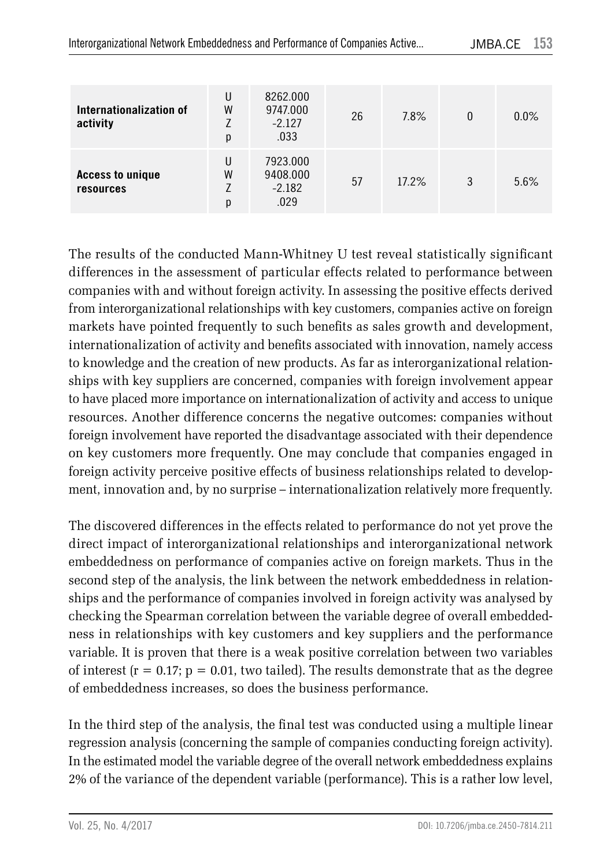| Internationalization of<br>activity  | U<br>W<br>р      | 8262.000<br>9747.000<br>$-2.127$<br>.033 | 26 | 7.8%  | 0 | $0.0\%$ |
|--------------------------------------|------------------|------------------------------------------|----|-------|---|---------|
| <b>Access to unique</b><br>resources | U<br>W<br>7<br>р | 7923.000<br>9408.000<br>$-2.182$<br>.029 | 57 | 17.2% | 3 | 5.6%    |

The results of the conducted Mann-Whitney U test reveal statistically significant differences in the assessment of particular effects related to performance between companies with and without foreign activity. In assessing the positive effects derived from interorganizational relationships with key customers, companies active on foreign markets have pointed frequently to such benefits as sales growth and development, internationalization of activity and benefits associated with innovation, namely access to knowledge and the creation of new products. As far as interorganizational relationships with key suppliers are concerned, companies with foreign involvement appear to have placed more importance on internationalization of activity and access to unique resources. Another difference concerns the negative outcomes: companies without foreign involvement have reported the disadvantage associated with their dependence on key customers more frequently. One may conclude that companies engaged in foreign activity perceive positive effects of business relationships related to development, innovation and, by no surprise – internationalization relatively more frequently.

The discovered differences in the effects related to performance do not yet prove the direct impact of interorganizational relationships and interorganizational network embeddedness on performance of companies active on foreign markets. Thus in the second step of the analysis, the link between the network embeddedness in relationships and the performance of companies involved in foreign activity was analysed by checking the Spearman correlation between the variable degree of overall embeddedness in relationships with key customers and key suppliers and the performance variable. It is proven that there is a weak positive correlation between two variables of interest  $(r = 0.17; p = 0.01,$  two tailed). The results demonstrate that as the degree of embeddedness increases, so does the business performance.

In the third step of the analysis, the final test was conducted using a multiple linear regression analysis (concerning the sample of companies conducting foreign activity). In the estimated model the variable degree of the overall network embeddedness explains 2% of the variance of the dependent variable (performance). This is a rather low level,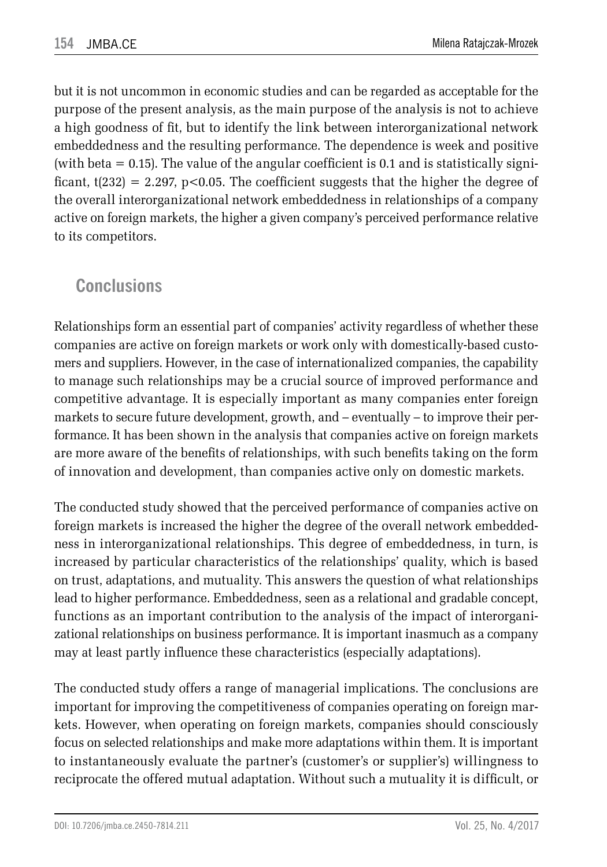but it is not uncommon in economic studies and can be regarded as acceptable for the purpose of the present analysis, as the main purpose of the analysis is not to achieve a high goodness of fit, but to identify the link between interorganizational network embeddedness and the resulting performance. The dependence is week and positive (with beta  $= 0.15$ ). The value of the angular coefficient is 0.1 and is statistically significant,  $t(232) = 2.297$ ,  $p < 0.05$ . The coefficient suggests that the higher the degree of the overall interorganizational network embeddedness in relationships of a company active on foreign markets, the higher a given company's perceived performance relative to its competitors.

### **Conclusions**

Relationships form an essential part of companies' activity regardless of whether these companies are active on foreign markets or work only with domestically-based customers and suppliers. However, in the case of internationalized companies, the capability to manage such relationships may be a crucial source of improved performance and competitive advantage. It is especially important as many companies enter foreign markets to secure future development, growth, and – eventually – to improve their performance. It has been shown in the analysis that companies active on foreign markets are more aware of the benefits of relationships, with such benefits taking on the form of innovation and development, than companies active only on domestic markets.

The conducted study showed that the perceived performance of companies active on foreign markets is increased the higher the degree of the overall network embeddedness in interorganizational relationships. This degree of embeddedness, in turn, is increased by particular characteristics of the relationships' quality, which is based on trust, adaptations, and mutuality. This answers the question of what relationships lead to higher performance. Embeddedness, seen as a relational and gradable concept, functions as an important contribution to the analysis of the impact of interorganizational relationships on business performance. It is important inasmuch as a company may at least partly influence these characteristics (especially adaptations).

The conducted study offers a range of managerial implications. The conclusions are important for improving the competitiveness of companies operating on foreign markets. However, when operating on foreign markets, companies should consciously focus on selected relationships and make more adaptations within them. It is important to instantaneously evaluate the partner's (customer's or supplier's) willingness to reciprocate the offered mutual adaptation. Without such a mutuality it is difficult, or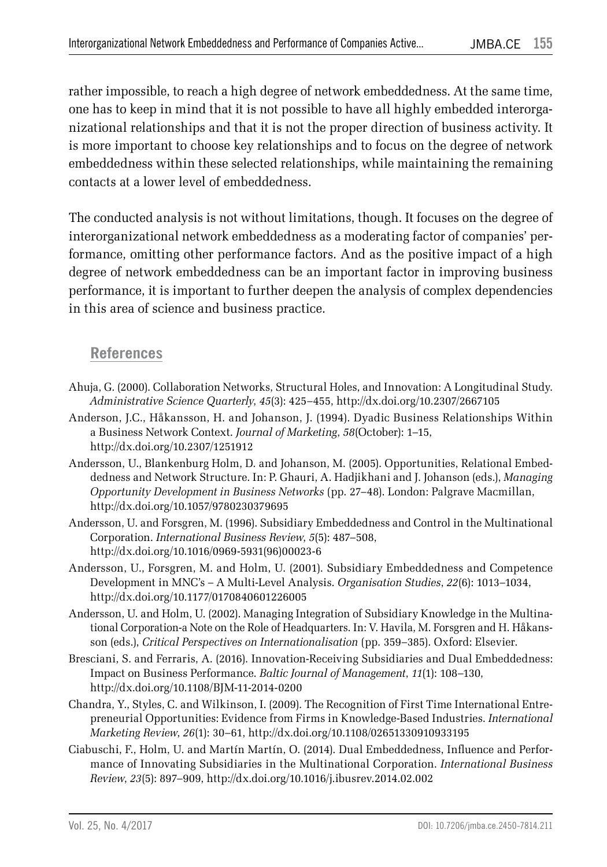rather impossible, to reach a high degree of network embeddedness. At the same time, one has to keep in mind that it is not possible to have all highly embedded interorganizational relationships and that it is not the proper direction of business activity. It is more important to choose key relationships and to focus on the degree of network embeddedness within these selected relationships, while maintaining the remaining contacts at a lower level of embeddedness.

The conducted analysis is not without limitations, though. It focuses on the degree of interorganizational network embeddedness as a moderating factor of companies' performance, omitting other performance factors. And as the positive impact of a high degree of network embeddedness can be an important factor in improving business performance, it is important to further deepen the analysis of complex dependencies in this area of science and business practice.

#### **References**

- Ahuja, G. (2000). Collaboration Networks, Structural Holes, and Innovation: A Longitudinal Study. *Administrative Science Quarterly*, *45*(3): 425–455, http://dx.doi.org/10.2307/2667105
- Anderson, J.C., Håkansson, H. and Johanson, J. (1994). Dyadic Business Relationships Within a Business Network Context. *Journal of Marketing*, *58*(October): 1–15, http://dx.doi.org/10.2307/1251912
- Andersson, U., Blankenburg Holm, D. and Johanson, M. (2005). Opportunities, Relational Embeddedness and Network Structure. In: P. Ghauri, A. Hadjikhani and J. Johanson (eds.), *Managing Opportunity Development in Business Networks* (pp. 27–48). London: Palgrave Macmillan, http://dx.doi.org/10.1057/9780230379695
- Andersson, U. and Forsgren, M. (1996). Subsidiary Embeddedness and Control in the Multinational Corporation. *International Business Review*, *5*(5): 487–508, http://dx.doi.org/10.1016/0969-5931(96)00023-6
- Andersson, U., Forsgren, M. and Holm, U. (2001). Subsidiary Embeddedness and Competence Development in MNC's – A Multi-Level Analysis. *Organisation Studies*, *22*(6): 1013–1034, http://dx.doi.org/10.1177/0170840601226005
- Andersson, U. and Holm, U. (2002). Managing Integration of Subsidiary Knowledge in the Multinational Corporation-a Note on the Role of Headquarters. In: V. Havila, M. Forsgren and H. Håkansson (eds.), *Critical Perspectives on Internationalisation* (pp. 359–385). Oxford: Elsevier.
- Bresciani, S. and Ferraris, A. (2016). Innovation-Receiving Subsidiaries and Dual Embeddedness: Impact on Business Performance. *Baltic Journal of Management*, *11*(1): 108–130, http://dx.doi.org/10.1108/BJM-11-2014-0200
- Chandra, Y., Styles, C. and Wilkinson, I. (2009). The Recognition of First Time International Entrepreneurial Opportunities: Evidence from Firms in Knowledge-Based Industries. *International Marketing Review*, *26*(1): 30–61, http://dx.doi.org/10.1108/02651330910933195
- Ciabuschi, F., Holm, U. and Martín Martín, O. (2014). Dual Embeddedness, Influence and Performance of Innovating Subsidiaries in the Multinational Corporation. *International Business Review*, *23*(5): 897–909, http://dx.doi.org/10.1016/j.ibusrev.2014.02.002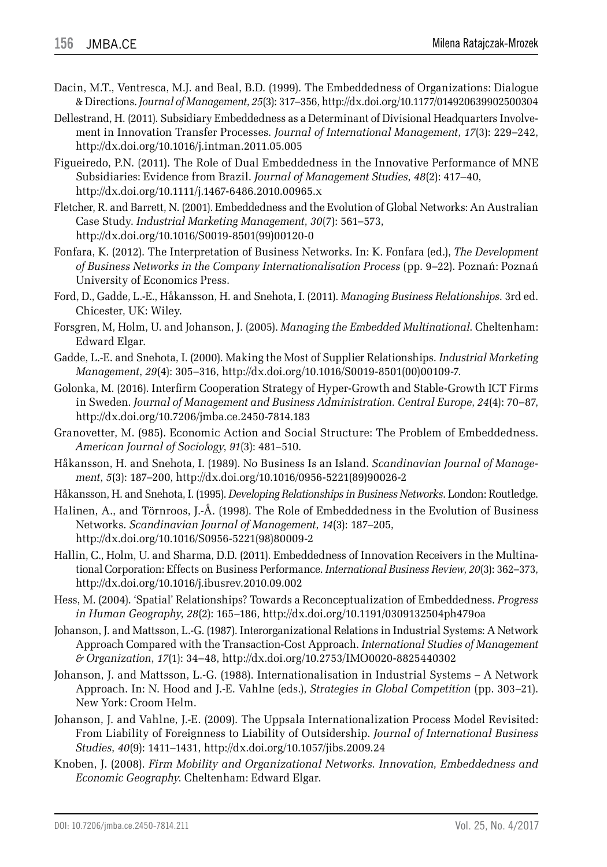- Dacin, M.T., Ventresca, M.J. and Beal, B.D. (1999). The Embeddedness of Organizations: Dialogue & Directions. *Journal of Management*, *25*(3): 317–356, http://dx.doi.org/10.1177/014920639902500304
- Dellestrand, H. (2011). Subsidiary Embeddedness as a Determinant of Divisional Headquarters Involvement in Innovation Transfer Processes. *Journal of International Management*, *17*(3): 229–242, http://dx.doi.org/10.1016/j.intman.2011.05.005
- Figueiredo, P.N. (2011). The Role of Dual Embeddedness in the Innovative Performance of MNE Subsidiaries: Evidence from Brazil. *Journal of Management Studies*, *48*(2): 417–40, http://dx.doi.org/10.1111/j.1467-6486.2010.00965.x
- Fletcher, R. and Barrett, N. (2001). Embeddedness and the Evolution of Global Networks: An Australian Case Study. *Industrial Marketing Management*, *30*(7): 561–573, http://dx.doi.org/10.1016/S0019-8501(99)00120-0
- Fonfara, K. (2012). The Interpretation of Business Networks. In: K. Fonfara (ed.), *The Development of Business Networks in the Company Internationalisation Process* (pp. 9–22). Poznań: Poznań University of Economics Press.
- Ford, D., Gadde, L.-E., Håkansson, H. and Snehota, I. (2011). *Managing Business Relationships*. 3rd ed. Chicester, UK: Wiley.
- Forsgren, M, Holm, U. and Johanson, J. (2005). *Managing the Embedded Multinational*. Cheltenham: Edward Elgar.
- Gadde, L.-E. and Snehota, I. (2000). Making the Most of Supplier Relationships. *Industrial Marketing Management*, *29*(4): 305–316, http://dx.doi.org/10.1016/S0019-8501(00)00109-7.
- Golonka, M. (2016). Interfirm Cooperation Strategy of Hyper-Growth and Stable-Growth ICT Firms in Sweden. *Journal of Management and Business Administration. Central Europe*, *24*(4): 70–87, http://dx.doi.org/10.7206/jmba.ce.2450-7814.183
- Granovetter, M. (985). Economic Action and Social Structure: The Problem of Embeddedness. *American Journal of Sociology*, *91*(3): 481–510.
- Håkansson, H. and Snehota, I. (1989). No Business Is an Island. *Scandinavian Journal of Management*, *5*(3): 187–200, http://dx.doi.org/10.1016/0956-5221(89)90026-2
- Håkansson, H. and Snehota, I. (1995). *Developing Relationships in Business Networks*. London: Routledge.
- Halinen, A., and Törnroos, J.-Å. (1998). The Role of Embeddedness in the Evolution of Business Networks. *Scandinavian Journal of Management*, *14*(3): 187–205, http://dx.doi.org/10.1016/S0956-5221(98)80009-2
- Hallin, C., Holm, U. and Sharma, D.D. (2011). Embeddedness of Innovation Receivers in the Multinational Corporation: Effects on Business Performance. *International Business Review*, *20*(3): 362–373, http://dx.doi.org/10.1016/j.ibusrev.2010.09.002
- Hess, M. (2004). 'Spatial' Relationships? Towards a Reconceptualization of Embeddedness. *Progress in Human Geography*, *28*(2): 165–186, http://dx.doi.org/10.1191/0309132504ph479oa
- Johanson, J. and Mattsson, L.-G. (1987). Interorganizational Relations in Industrial Systems: A Network Approach Compared with the Transaction-Cost Approach. *International Studies of Management & Organization*, *17*(1): 34–48, http://dx.doi.org/10.2753/IMO0020-8825440302
- Johanson, J. and Mattsson, L.-G. (1988). Internationalisation in Industrial Systems A Network Approach. In: N. Hood and J.-E. Vahlne (eds.), *Strategies in Global Competition* (pp. 303–21). New York: Croom Helm.
- Johanson, J. and Vahlne, J.-E. (2009). The Uppsala Internationalization Process Model Revisited: From Liability of Foreignness to Liability of Outsidership. *Journal of International Business Studies*, *40*(9): 1411–1431, http://dx.doi.org/10.1057/jibs.2009.24
- Knoben, J. (2008). *Firm Mobility and Organizational Networks. Innovation, Embeddedness and Economic Geography*. Cheltenham: Edward Elgar.